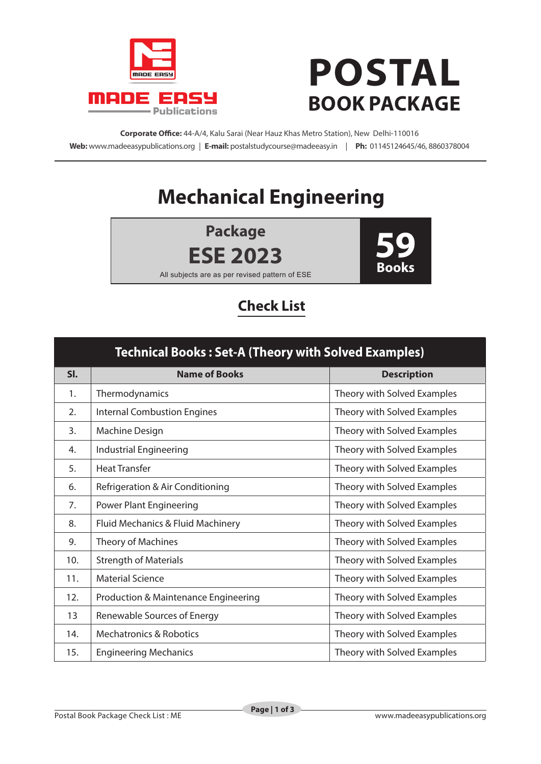

## **POSTAL BOOK PACKAGE**

**Corporate Office:** 44-A/4, Kalu Sarai (Near Hauz Khas Metro Station), New Delhi-110016 **Web:** www.madeeasypublications.org | **E-mail:** postalstudycourse@madeeasy.in | **Ph:** 01145124645/46, 8860378004

## **Mechanical Engineering**

**Package ESE 2023**



All subjects are as per revised pattern of ESE

## **Check List**

| <b>Technical Books: Set-A (Theory with Solved Examples)</b> |                                                 |                             |  |
|-------------------------------------------------------------|-------------------------------------------------|-----------------------------|--|
| SI.                                                         | <b>Name of Books</b>                            | <b>Description</b>          |  |
| 1.                                                          | Thermodynamics                                  | Theory with Solved Examples |  |
| 2.                                                          | <b>Internal Combustion Engines</b>              | Theory with Solved Examples |  |
| 3.                                                          | Machine Design                                  | Theory with Solved Examples |  |
| 4.                                                          | <b>Industrial Engineering</b>                   | Theory with Solved Examples |  |
| 5.                                                          | <b>Heat Transfer</b>                            | Theory with Solved Examples |  |
| 6.                                                          | Refrigeration & Air Conditioning                | Theory with Solved Examples |  |
| 7.                                                          | <b>Power Plant Engineering</b>                  | Theory with Solved Examples |  |
| 8.                                                          | Fluid Mechanics & Fluid Machinery               | Theory with Solved Examples |  |
| 9.                                                          | Theory of Machines                              | Theory with Solved Examples |  |
| 10.                                                         | <b>Strength of Materials</b>                    | Theory with Solved Examples |  |
| 11.                                                         | <b>Material Science</b>                         | Theory with Solved Examples |  |
| 12.                                                         | <b>Production &amp; Maintenance Engineering</b> | Theory with Solved Examples |  |
| 13                                                          | Renewable Sources of Energy                     | Theory with Solved Examples |  |
| 14.                                                         | <b>Mechatronics &amp; Robotics</b>              | Theory with Solved Examples |  |
| 15.                                                         | <b>Engineering Mechanics</b>                    | Theory with Solved Examples |  |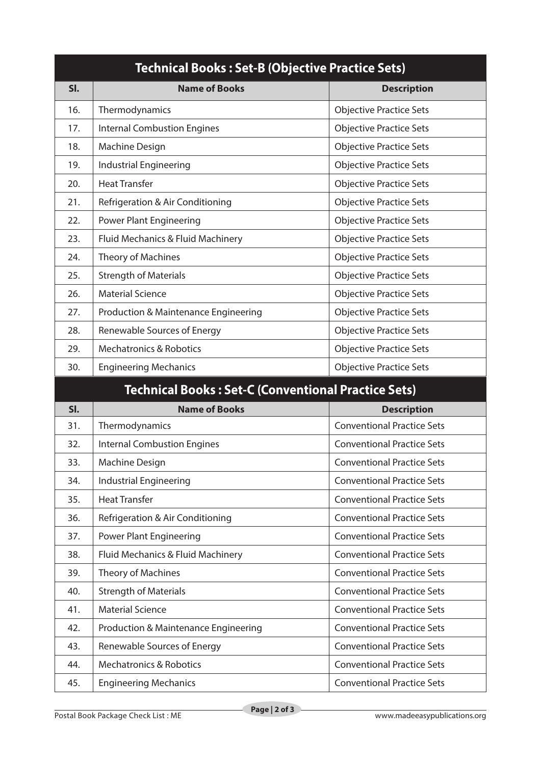| <b>Technical Books: Set-B (Objective Practice Sets)</b>    |                                      |                                   |  |
|------------------------------------------------------------|--------------------------------------|-----------------------------------|--|
| SI.                                                        | <b>Name of Books</b>                 | <b>Description</b>                |  |
| 16.                                                        | Thermodynamics                       | <b>Objective Practice Sets</b>    |  |
| 17.                                                        | <b>Internal Combustion Engines</b>   | <b>Objective Practice Sets</b>    |  |
| 18.                                                        | Machine Design                       | <b>Objective Practice Sets</b>    |  |
| 19.                                                        | <b>Industrial Engineering</b>        | <b>Objective Practice Sets</b>    |  |
| 20.                                                        | <b>Heat Transfer</b>                 | <b>Objective Practice Sets</b>    |  |
| 21.                                                        | Refrigeration & Air Conditioning     | <b>Objective Practice Sets</b>    |  |
| 22.                                                        | <b>Power Plant Engineering</b>       | <b>Objective Practice Sets</b>    |  |
| 23.                                                        | Fluid Mechanics & Fluid Machinery    | <b>Objective Practice Sets</b>    |  |
| 24.                                                        | <b>Theory of Machines</b>            | <b>Objective Practice Sets</b>    |  |
| 25.                                                        | <b>Strength of Materials</b>         | <b>Objective Practice Sets</b>    |  |
| 26.                                                        | <b>Material Science</b>              | <b>Objective Practice Sets</b>    |  |
| 27.                                                        | Production & Maintenance Engineering | <b>Objective Practice Sets</b>    |  |
| 28.                                                        | Renewable Sources of Energy          | <b>Objective Practice Sets</b>    |  |
| 29.                                                        | <b>Mechatronics &amp; Robotics</b>   | <b>Objective Practice Sets</b>    |  |
| 30.                                                        | <b>Engineering Mechanics</b>         | <b>Objective Practice Sets</b>    |  |
| <b>Technical Books: Set-C (Conventional Practice Sets)</b> |                                      |                                   |  |
| SI.                                                        | <b>Name of Books</b>                 | <b>Description</b>                |  |
| 31.                                                        | Thermodynamics                       | <b>Conventional Practice Sets</b> |  |
| 32.                                                        | <b>Internal Combustion Engines</b>   | <b>Conventional Practice Sets</b> |  |

| SI. | <b>Name of Books</b>                            | <b>Description</b>                |
|-----|-------------------------------------------------|-----------------------------------|
| 31. | Thermodynamics                                  | <b>Conventional Practice Sets</b> |
| 32. | <b>Internal Combustion Engines</b>              | <b>Conventional Practice Sets</b> |
| 33. | Machine Design                                  | <b>Conventional Practice Sets</b> |
| 34. | Industrial Engineering                          | <b>Conventional Practice Sets</b> |
| 35. | <b>Heat Transfer</b>                            | <b>Conventional Practice Sets</b> |
| 36. | Refrigeration & Air Conditioning                | <b>Conventional Practice Sets</b> |
| 37. | <b>Power Plant Engineering</b>                  | <b>Conventional Practice Sets</b> |
| 38. | Fluid Mechanics & Fluid Machinery               | <b>Conventional Practice Sets</b> |
| 39. | Theory of Machines                              | <b>Conventional Practice Sets</b> |
| 40. | <b>Strength of Materials</b>                    | <b>Conventional Practice Sets</b> |
| 41. | <b>Material Science</b>                         | <b>Conventional Practice Sets</b> |
| 42. | <b>Production &amp; Maintenance Engineering</b> | <b>Conventional Practice Sets</b> |
| 43. | Renewable Sources of Energy                     | <b>Conventional Practice Sets</b> |
| 44. | <b>Mechatronics &amp; Robotics</b>              | <b>Conventional Practice Sets</b> |
| 45. | <b>Engineering Mechanics</b>                    | <b>Conventional Practice Sets</b> |